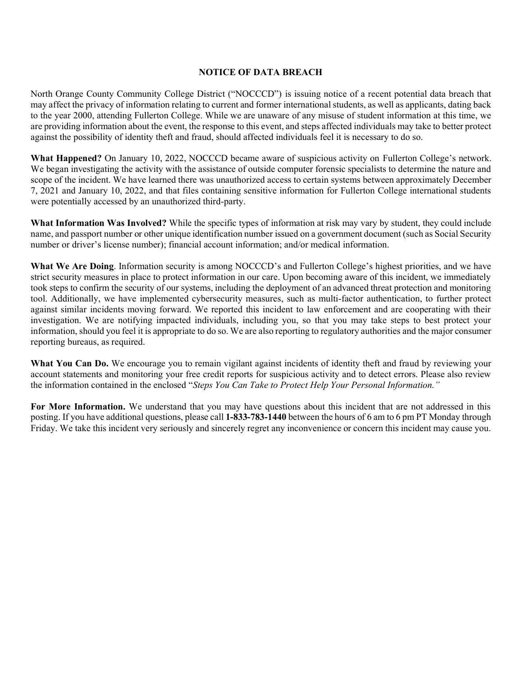## **NOTICE OF DATA BREACH**

North Orange County Community College District ("NOCCCD") is issuing notice of a recent potential data breach that may affect the privacy of information relating to current and former international students, as well as applicants, dating back to the year 2000, attending Fullerton College. While we are unaware of any misuse of student information at this time, we are providing information about the event, the response to this event, and steps affected individuals may take to better protect against the possibility of identity theft and fraud, should affected individuals feel it is necessary to do so.

**What Happened?** On January 10, 2022, NOCCCD became aware of suspicious activity on Fullerton College's network. We began investigating the activity with the assistance of outside computer forensic specialists to determine the nature and scope of the incident. We have learned there was unauthorized access to certain systems between approximately December 7, 2021 and January 10, 2022, and that files containing sensitive information for Fullerton College international students were potentially accessed by an unauthorized third-party.

**What Information Was Involved?** While the specific types of information at risk may vary by student, they could include name, and passport number or other unique identification number issued on a government document (such as Social Security number or driver's license number); financial account information; and/or medical information.

**What We Are Doing**. Information security is among NOCCCD's and Fullerton College's highest priorities, and we have strict security measures in place to protect information in our care. Upon becoming aware of this incident, we immediately took steps to confirm the security of our systems, including the deployment of an advanced threat protection and monitoring tool. Additionally, we have implemented cybersecurity measures, such as multi-factor authentication, to further protect against similar incidents moving forward. We reported this incident to law enforcement and are cooperating with their investigation. We are notifying impacted individuals, including you, so that you may take steps to best protect your information, should you feel it is appropriate to do so. We are also reporting to regulatory authorities and the major consumer reporting bureaus, as required.

What You Can Do. We encourage you to remain vigilant against incidents of identity theft and fraud by reviewing your account statements and monitoring your free credit reports for suspicious activity and to detect errors. Please also review the information contained in the enclosed "*Steps You Can Take to Protect Help Your Personal Information."*

**For More Information.** We understand that you may have questions about this incident that are not addressed in this posting. If you have additional questions, please call **1-833-783-1440** between the hours of 6 am to 6 pm PT Monday through Friday. We take this incident very seriously and sincerely regret any inconvenience or concern this incident may cause you.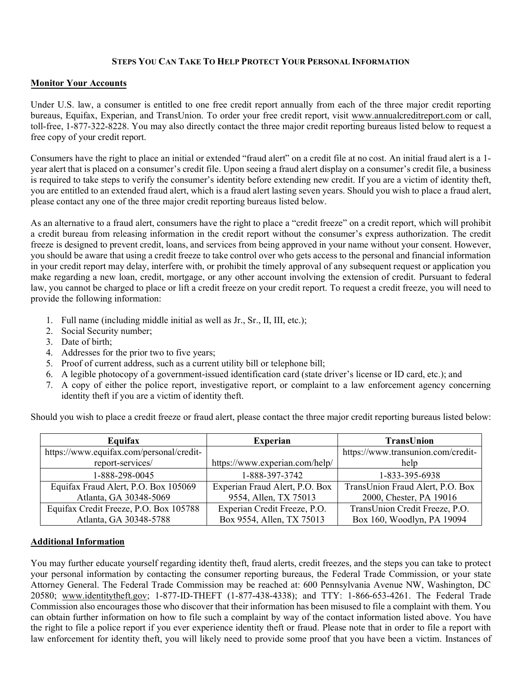## **STEPS YOU CAN TAKE TO HELP PROTECT YOUR PERSONAL INFORMATION**

## **Monitor Your Accounts**

Under U.S. law, a consumer is entitled to one free credit report annually from each of the three major credit reporting bureaus, Equifax, Experian, and TransUnion. To order your free credit report, visit www.annualcreditreport.com or call, toll-free, 1-877-322-8228. You may also directly contact the three major credit reporting bureaus listed below to request a free copy of your credit report.

Consumers have the right to place an initial or extended "fraud alert" on a credit file at no cost. An initial fraud alert is a 1 year alert that is placed on a consumer's credit file. Upon seeing a fraud alert display on a consumer's credit file, a business is required to take steps to verify the consumer's identity before extending new credit. If you are a victim of identity theft, you are entitled to an extended fraud alert, which is a fraud alert lasting seven years. Should you wish to place a fraud alert, please contact any one of the three major credit reporting bureaus listed below.

As an alternative to a fraud alert, consumers have the right to place a "credit freeze" on a credit report, which will prohibit a credit bureau from releasing information in the credit report without the consumer's express authorization. The credit freeze is designed to prevent credit, loans, and services from being approved in your name without your consent. However, you should be aware that using a credit freeze to take control over who gets access to the personal and financial information in your credit report may delay, interfere with, or prohibit the timely approval of any subsequent request or application you make regarding a new loan, credit, mortgage, or any other account involving the extension of credit. Pursuant to federal law, you cannot be charged to place or lift a credit freeze on your credit report. To request a credit freeze, you will need to provide the following information:

- 1. Full name (including middle initial as well as Jr., Sr., II, III, etc.);
- 2. Social Security number;
- 3. Date of birth;
- 4. Addresses for the prior two to five years;
- 5. Proof of current address, such as a current utility bill or telephone bill;
- 6. A legible photocopy of a government-issued identification card (state driver's license or ID card, etc.); and
- 7. A copy of either the police report, investigative report, or complaint to a law enforcement agency concerning identity theft if you are a victim of identity theft.

Should you wish to place a credit freeze or fraud alert, please contact the three major credit reporting bureaus listed below:

| Equifax                                  | <b>Experian</b>                | TransUnion                         |
|------------------------------------------|--------------------------------|------------------------------------|
| https://www.equifax.com/personal/credit- |                                | https://www.transunion.com/credit- |
| report-services/                         | https://www.experian.com/help/ | help                               |
| 1-888-298-0045                           | 1-888-397-3742                 | 1-833-395-6938                     |
| Equifax Fraud Alert, P.O. Box 105069     | Experian Fraud Alert, P.O. Box | TransUnion Fraud Alert, P.O. Box   |
| Atlanta, GA 30348-5069                   | 9554, Allen, TX 75013          | 2000, Chester, PA 19016            |
| Equifax Credit Freeze, P.O. Box 105788   | Experian Credit Freeze, P.O.   | TransUnion Credit Freeze, P.O.     |
| Atlanta, GA 30348-5788                   | Box 9554, Allen, TX 75013      | Box 160, Woodlyn, PA 19094         |

## **Additional Information**

You may further educate yourself regarding identity theft, fraud alerts, credit freezes, and the steps you can take to protect your personal information by contacting the consumer reporting bureaus, the Federal Trade Commission, or your state Attorney General. The Federal Trade Commission may be reached at: 600 Pennsylvania Avenue NW, Washington, DC 20580; www.identitytheft.gov; 1-877-ID-THEFT (1-877-438-4338); and TTY: 1-866-653-4261. The Federal Trade Commission also encourages those who discover that their information has been misused to file a complaint with them. You can obtain further information on how to file such a complaint by way of the contact information listed above. You have the right to file a police report if you ever experience identity theft or fraud. Please note that in order to file a report with law enforcement for identity theft, you will likely need to provide some proof that you have been a victim. Instances of